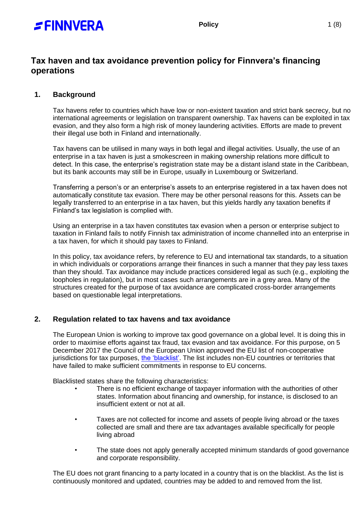

# **Tax haven and tax avoidance prevention policy for Finnvera's financing operations**

# **1. Background**

Tax havens refer to countries which have low or non-existent taxation and strict bank secrecy, but no international agreements or legislation on transparent ownership. Tax havens can be exploited in tax evasion, and they also form a high risk of money laundering activities. Efforts are made to prevent their illegal use both in Finland and internationally.

Tax havens can be utilised in many ways in both legal and illegal activities. Usually, the use of an enterprise in a tax haven is just a smokescreen in making ownership relations more difficult to detect. In this case, the enterprise's registration state may be a distant island state in the Caribbean, but its bank accounts may still be in Europe, usually in Luxembourg or Switzerland.

Transferring a person's or an enterprise's assets to an enterprise registered in a tax haven does not automatically constitute tax evasion. There may be other personal reasons for this. Assets can be legally transferred to an enterprise in a tax haven, but this yields hardly any taxation benefits if Finland's tax legislation is complied with.

Using an enterprise in a tax haven constitutes tax evasion when a person or enterprise subject to taxation in Finland fails to notify Finnish tax administration of income channelled into an enterprise in a tax haven, for which it should pay taxes to Finland.

In this policy, tax avoidance refers, by reference to EU and international tax standards, to a situation in which individuals or corporations arrange their finances in such a manner that they pay less taxes than they should. Tax avoidance may include practices considered legal as such (e.g., exploiting the loopholes in regulation), but in most cases such arrangements are in a grey area. Many of the structures created for the purpose of tax avoidance are complicated cross-border arrangements based on questionable legal interpretations.

# **2. Regulation related to tax havens and tax avoidance**

The European Union is working to improve tax good governance on a global level. It is doing this in order to maximise efforts against tax fraud, tax evasion and tax avoidance. For this purpose, on 5 December 2017 the Council of the European Union approved the EU list of non-cooperative jurisdictions for tax purposes, [the 'blacklist'.](https://www.consilium.europa.eu/en/policies/eu-list-of-non-cooperative-jurisdictions/) The list includes non-EU countries or territories that have failed to make sufficient commitments in response to EU concerns.

Blacklisted states share the following characteristics:

- There is no efficient exchange of taxpayer information with the authorities of other states. Information about financing and ownership, for instance, is disclosed to an insufficient extent or not at all.
- Taxes are not collected for income and assets of people living abroad or the taxes collected are small and there are tax advantages available specifically for people living abroad
- The state does not apply generally accepted minimum standards of good governance and corporate responsibility.

The EU does not grant financing to a party located in a country that is on the blacklist. As the list is continuously monitored and updated, countries may be added to and removed from the list.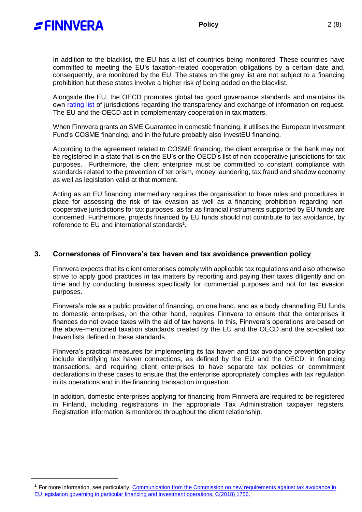

-

In addition to the blacklist, the EU has a list of countries being monitored. These countries have committed to meeting the EU's taxation-related cooperation obligations by a certain date and, consequently, are monitored by the EU. The states on the grey list are not subject to a financing prohibition but these states involve a higher risk of being added on the blacklist.

Alongside the EU, the OECD promotes global tax good governance standards and maintains its own [rating list](https://www.oecd.org/tax/transparency/exchange-of-information-on-request/ratings/) of jurisdictions regarding the transparency and exchange of information on request. The EU and the OECD act in complementary cooperation in tax matters.

When Finnvera grants an SME Guarantee in domestic financing, it utilises the European Investment Fund's COSME financing, and in the future probably also InvestEU financing.

According to the agreement related to COSME financing, the client enterprise or the bank may not be registered in a state that is on the EU's or the OECD's list of non-cooperative jurisdictions for tax purposes. Furthermore, the client enterprise must be committed to constant compliance with standards related to the prevention of terrorism, money laundering, tax fraud and shadow economy as well as legislation valid at that moment.

Acting as an EU financing intermediary requires the organisation to have rules and procedures in place for assessing the risk of tax evasion as well as a financing prohibition regarding noncooperative jurisdictions for tax purposes, as far as financial instruments supported by EU funds are concerned. Furthermore, projects financed by EU funds should not contribute to tax avoidance, by reference to EU and international standards $^1$ .

## **3. Cornerstones of Finnvera's tax haven and tax avoidance prevention policy**

Finnvera expects that its client enterprises comply with applicable tax regulations and also otherwise strive to apply good practices in tax matters by reporting and paying their taxes diligently and on time and by conducting business specifically for commercial purposes and not for tax evasion purposes.

Finnvera's role as a public provider of financing, on one hand, and as a body channelling EU funds to domestic enterprises, on the other hand, requires Finnvera to ensure that the enterprises it finances do not evade taxes with the aid of tax havens. In this, Finnvera's operations are based on the above-mentioned taxation standards created by the EU and the OECD and the so-called tax haven lists defined in these standards.

Finnvera's practical measures for implementing its tax haven and tax avoidance prevention policy include identifying tax haven connections, as defined by the EU and the OECD, in financing transactions, and requiring client enterprises to have separate tax policies or commitment declarations in these cases to ensure that the enterprise appropriately complies with tax regulation in its operations and in the financing transaction in question.

In addition, domestic enterprises applying for financing from Finnvera are required to be registered in Finland, including registrations in the appropriate Tax Administration taxpayer registers. Registration information is monitored throughout the client relationship.

<sup>&</sup>lt;sup>1</sup> For more information, see particularly: Communication from the Commission on new requirements against tax avoidance in [EU](https://ec.europa.eu/info/sites/default/files/economy-finance/c_2018_1756_en_0.pdf) [legislation governing in particular financing and investment operations, C\(2018\) 1756.](https://ec.europa.eu/info/sites/default/files/economy-finance/c_2018_1756_en_0.pdf)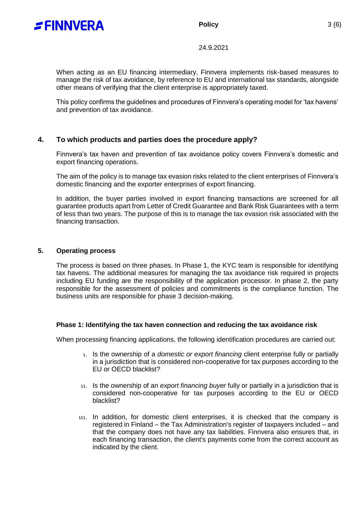

### **Policy** 3 (6)

24.9.2021

When acting as an EU financing intermediary, Finnvera implements risk-based measures to manage the risk of tax avoidance, by reference to EU and international tax standards, alongside other means of verifying that the client enterprise is appropriately taxed.

This policy confirms the guidelines and procedures of Finnvera's operating model for 'tax havens' and prevention of tax avoidance.

# **4. To which products and parties does the procedure apply?**

Finnvera's tax haven and prevention of tax avoidance policy covers Finnvera's domestic and export financing operations.

The aim of the policy is to manage tax evasion risks related to the client enterprises of Finnvera's domestic financing and the exporter enterprises of export financing.

In addition, the buyer parties involved in export financing transactions are screened for all guarantee products apart from Letter of Credit Guarantee and Bank Risk Guarantees with a term of less than two years. The purpose of this is to manage the tax evasion risk associated with the financing transaction.

#### **5. Operating process**

The process is based on three phases. In Phase 1, the KYC team is responsible for identifying tax havens. The additional measures for managing the tax avoidance risk required in projects including EU funding are the responsibility of the application processor. In phase 2, the party responsible for the assessment of policies and commitments is the compliance function. The business units are responsible for phase 3 decision-making.

#### **Phase 1: Identifying the tax haven connection and reducing the tax avoidance risk**

When processing financing applications, the following identification procedures are carried out:

- Is the ownership of a *domestic or export financing* client enterprise fully or partially in a jurisdiction that is considered non-cooperative for tax purposes according to the EU or OECD blacklist?
- Is the ownership of an *export financing buyer* fully or partially in a jurisdiction that is considered non-cooperative for tax purposes according to the EU or OECD blacklist?
- In addition, for domestic client enterprises, it is checked that the company is registered in Finland – the Tax Administration's register of taxpayers included – and that the company does not have any tax liabilities. Finnvera also ensures that, in each financing transaction, the client's payments come from the correct account as indicated by the client.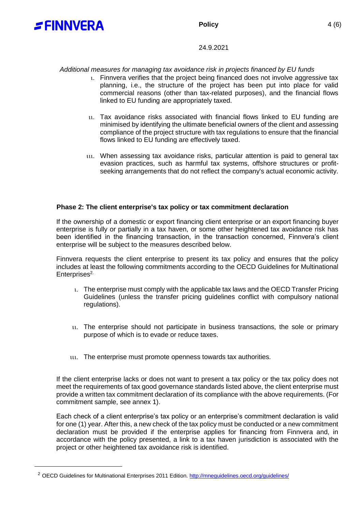

-

#### 24.9.2021

*Additional measures for managing tax avoidance risk in projects financed by EU funds*

- Finnvera verifies that the project being financed does not involve aggressive tax planning, i.e., the structure of the project has been put into place for valid commercial reasons (other than tax-related purposes), and the financial flows linked to EU funding are appropriately taxed.
- Tax avoidance risks associated with financial flows linked to EU funding are minimised by identifying the ultimate beneficial owners of the client and assessing compliance of the project structure with tax regulations to ensure that the financial flows linked to EU funding are effectively taxed.
- When assessing tax avoidance risks, particular attention is paid to general tax evasion practices, such as harmful tax systems, offshore structures or profitseeking arrangements that do not reflect the company's actual economic activity.

#### **Phase 2: The client enterprise's tax policy or tax commitment declaration**

If the ownership of a domestic or export financing client enterprise or an export financing buyer enterprise is fully or partially in a tax haven, or some other heightened tax avoidance risk has been identified in the financing transaction, in the transaction concerned, Finnvera's client enterprise will be subject to the measures described below.

Finnvera requests the client enterprise to present its tax policy and ensures that the policy includes at least the following commitments according to the OECD Guidelines for Multinational Enterprises<sup>2.</sup>

- The enterprise must comply with the applicable tax laws and the OECD Transfer Pricing Guidelines (unless the transfer pricing guidelines conflict with compulsory national regulations).
- The enterprise should not participate in business transactions, the sole or primary purpose of which is to evade or reduce taxes.
- The enterprise must promote openness towards tax authorities.

If the client enterprise lacks or does not want to present a tax policy or the tax policy does not meet the requirements of tax good governance standards listed above, the client enterprise must provide a written tax commitment declaration of its compliance with the above requirements. (For commitment sample, see annex 1).

Each check of a client enterprise's tax policy or an enterprise's commitment declaration is valid for one (1) year. After this, a new check of the tax policy must be conducted or a new commitment declaration must be provided if the enterprise applies for financing from Finnvera and, in accordance with the policy presented, a link to a tax haven jurisdiction is associated with the project or other heightened tax avoidance risk is identified.

<sup>&</sup>lt;sup>2</sup> OECD Guidelines for Multinational Enterprises 2011 Edition.<http://mneguidelines.oecd.org/guidelines/>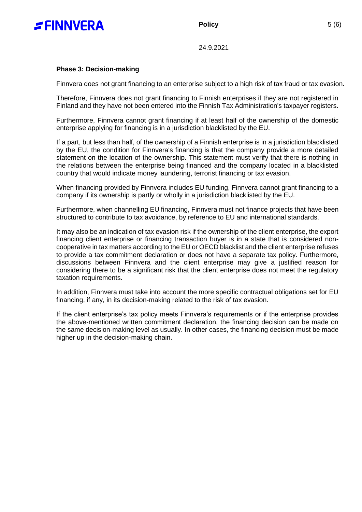

**Policy** 5 (6)

24.9.2021

### **Phase 3: Decision-making**

Finnvera does not grant financing to an enterprise subject to a high risk of tax fraud or tax evasion.

Therefore, Finnvera does not grant financing to Finnish enterprises if they are not registered in Finland and they have not been entered into the Finnish Tax Administration's taxpayer registers.

Furthermore, Finnvera cannot grant financing if at least half of the ownership of the domestic enterprise applying for financing is in a jurisdiction blacklisted by the EU.

If a part, but less than half, of the ownership of a Finnish enterprise is in a jurisdiction blacklisted by the EU, the condition for Finnvera's financing is that the company provide a more detailed statement on the location of the ownership. This statement must verify that there is nothing in the relations between the enterprise being financed and the company located in a blacklisted country that would indicate money laundering, terrorist financing or tax evasion.

When financing provided by Finnvera includes EU funding, Finnvera cannot grant financing to a company if its ownership is partly or wholly in a jurisdiction blacklisted by the EU.

Furthermore, when channelling EU financing, Finnvera must not finance projects that have been structured to contribute to tax avoidance, by reference to EU and international standards.

It may also be an indication of tax evasion risk if the ownership of the client enterprise, the export financing client enterprise or financing transaction buyer is in a state that is considered noncooperative in tax matters according to the EU or OECD blacklist and the client enterprise refuses to provide a tax commitment declaration or does not have a separate tax policy. Furthermore, discussions between Finnvera and the client enterprise may give a justified reason for considering there to be a significant risk that the client enterprise does not meet the regulatory taxation requirements.

In addition, Finnvera must take into account the more specific contractual obligations set for EU financing, if any, in its decision-making related to the risk of tax evasion.

If the client enterprise's tax policy meets Finnvera's requirements or if the enterprise provides the above-mentioned written commitment declaration, the financing decision can be made on the same decision-making level as usually. In other cases, the financing decision must be made higher up in the decision-making chain.